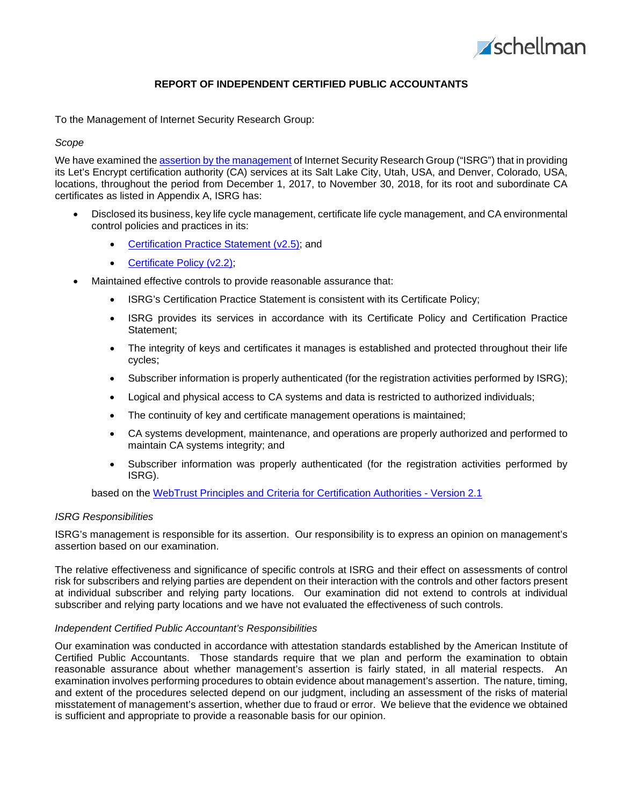

## **REPORT OF INDEPENDENT CERTIFIED PUBLIC ACCOUNTANTS**

To the Management of Internet Security Research Group:

#### *Scope*

We have examined the assertion by the [management](#page-2-0) of Internet Security Research Group ("ISRG") that in providing its Let's Encrypt certification authority (CA) services at its Salt Lake City, Utah, USA, and Denver, Colorado, USA, locations, throughout the period from December 1, 2017, to November 30, 2018, for its root and subordinate CA certificates as listed in Appendix A, ISRG has:

- Disclosed its business, key life cycle management, certificate life cycle management, and CA environmental control policies and practices in its:
	- [Certification Practice Statement \(v2.5\);](https://letsencrypt.org/documents/isrg-cps-v2.5/) and
	- [Certificate Policy \(v2.2\);](https://letsencrypt.org/documents/isrg-cp-v2.2/)
- Maintained effective controls to provide reasonable assurance that:
	- ISRG's Certification Practice Statement is consistent with its Certificate Policy;
	- ISRG provides its services in accordance with its Certificate Policy and Certification Practice Statement;
	- The integrity of keys and certificates it manages is established and protected throughout their life cycles;
	- Subscriber information is properly authenticated (for the registration activities performed by ISRG);
	- Logical and physical access to CA systems and data is restricted to authorized individuals;
	- The continuity of key and certificate management operations is maintained;
	- CA systems development, maintenance, and operations are properly authorized and performed to maintain CA systems integrity; and
	- Subscriber information was properly authenticated (for the registration activities performed by ISRG).

based on the [WebTrust Principles and Criteria for Certification Authorities -](http://www.webtrust.org/principles-and-criteria/docs/item85228.pdf) Version 2.1

#### *ISRG Responsibilities*

ISRG's management is responsible for its assertion. Our responsibility is to express an opinion on management's assertion based on our examination.

The relative effectiveness and significance of specific controls at ISRG and their effect on assessments of control risk for subscribers and relying parties are dependent on their interaction with the controls and other factors present at individual subscriber and relying party locations. Our examination did not extend to controls at individual subscriber and relying party locations and we have not evaluated the effectiveness of such controls.

#### *Independent Certified Public Accountant's Responsibilities*

Our examination was conducted in accordance with attestation standards established by the American Institute of Certified Public Accountants. Those standards require that we plan and perform the examination to obtain reasonable assurance about whether management's assertion is fairly stated, in all material respects. An examination involves performing procedures to obtain evidence about management's assertion. The nature, timing, and extent of the procedures selected depend on our judgment, including an assessment of the risks of material misstatement of management's assertion, whether due to fraud or error. We believe that the evidence we obtained is sufficient and appropriate to provide a reasonable basis for our opinion.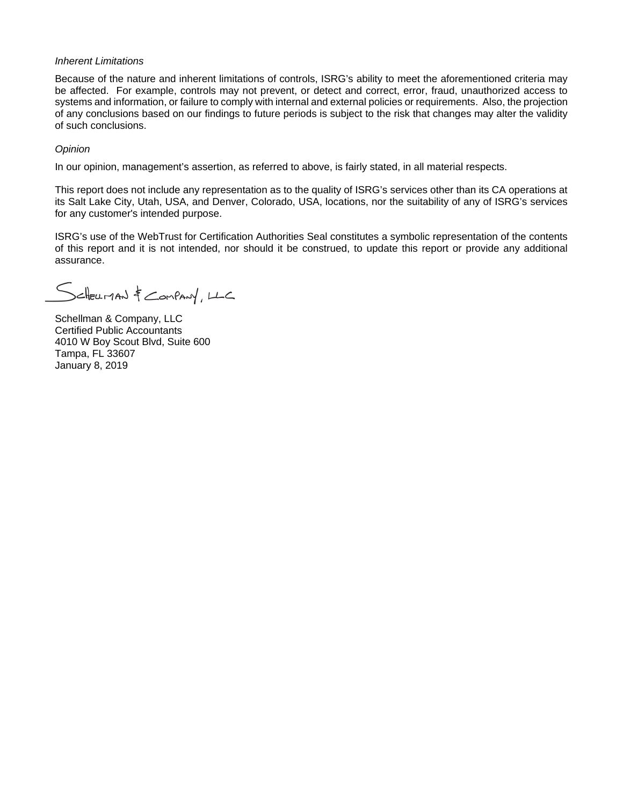#### *Inherent Limitations*

Because of the nature and inherent limitations of controls, ISRG's ability to meet the aforementioned criteria may be affected. For example, controls may not prevent, or detect and correct, error, fraud, unauthorized access to systems and information, or failure to comply with internal and external policies or requirements. Also, the projection of any conclusions based on our findings to future periods is subject to the risk that changes may alter the validity of such conclusions.

### *Opinion*

In our opinion, management's assertion, as referred to above, is fairly stated, in all material respects.

This report does not include any representation as to the quality of ISRG's services other than its CA operations at its Salt Lake City, Utah, USA, and Denver, Colorado, USA, locations, nor the suitability of any of ISRG's services for any customer's intended purpose.

ISRG's use of the WebTrust for Certification Authorities Seal constitutes a symbolic representation of the contents of this report and it is not intended, nor should it be construed, to update this report or provide any additional assurance.

SCHELLMAN & COMPANY, LLC

Schellman & Company, LLC Certified Public Accountants 4010 W Boy Scout Blvd, Suite 600 Tampa, FL 33607 January 8, 2019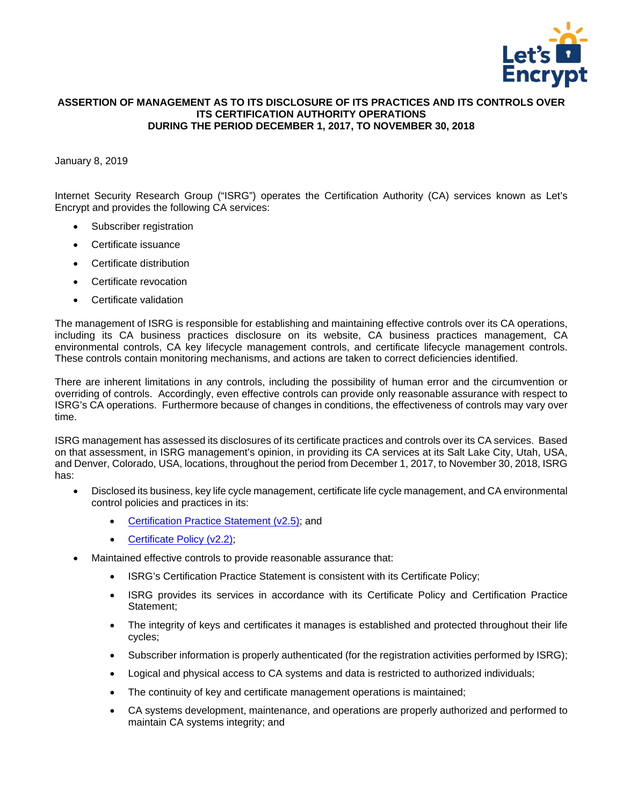

### <span id="page-2-0"></span>**ASSERTION OF MANAGEMENT AS TO ITS DISCLOSURE OF ITS PRACTICES AND ITS CONTROLS OVER ITS CERTIFICATION AUTHORITY OPERATIONS DURING THE PERIOD DECEMBER 1, 2017, TO NOVEMBER 30, 2018**

## January 8, 2019

Internet Security Research Group ("ISRG") operates the Certification Authority (CA) services known as Let's Encrypt and provides the following CA services:

- Subscriber registration
- Certificate issuance
- Certificate distribution
- Certificate revocation
- Certificate validation

The management of ISRG is responsible for establishing and maintaining effective controls over its CA operations, including its CA business practices disclosure on its website, CA business practices management, CA environmental controls, CA key lifecycle management controls, and certificate lifecycle management controls. These controls contain monitoring mechanisms, and actions are taken to correct deficiencies identified.

There are inherent limitations in any controls, including the possibility of human error and the circumvention or overriding of controls. Accordingly, even effective controls can provide only reasonable assurance with respect to ISRG's CA operations. Furthermore because of changes in conditions, the effectiveness of controls may vary over time.

ISRG management has assessed its disclosures of its certificate practices and controls over its CA services. Based on that assessment, in ISRG management's opinion, in providing its CA services at its Salt Lake City, Utah, USA, and Denver, Colorado, USA, locations, throughout the period from December 1, 2017, to November 30, 2018, ISRG has:

- Disclosed its business, key life cycle management, certificate life cycle management, and CA environmental control policies and practices in its:
	- [Certification Practice Statement \(v2.5\);](https://letsencrypt.org/documents/isrg-cps-v2.5/) and
	- [Certificate Policy \(v2.2\);](https://letsencrypt.org/documents/isrg-cp-v2.2/)
- Maintained effective controls to provide reasonable assurance that:
	- ISRG's Certification Practice Statement is consistent with its Certificate Policy;
	- ISRG provides its services in accordance with its Certificate Policy and Certification Practice Statement;
	- The integrity of keys and certificates it manages is established and protected throughout their life cycles;
	- Subscriber information is properly authenticated (for the registration activities performed by ISRG);
	- Logical and physical access to CA systems and data is restricted to authorized individuals;
	- The continuity of key and certificate management operations is maintained;
	- CA systems development, maintenance, and operations are properly authorized and performed to maintain CA systems integrity; and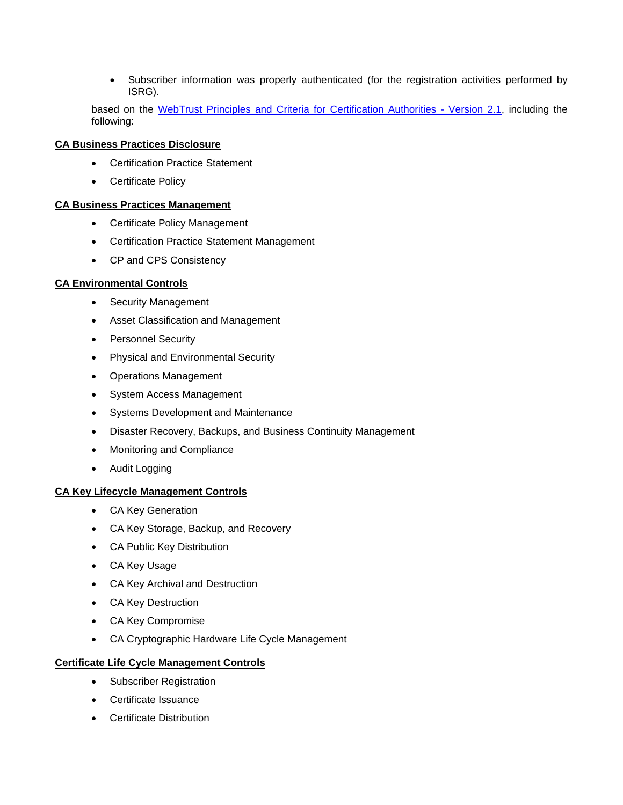• Subscriber information was properly authenticated (for the registration activities performed by ISRG).

based on the [WebTrust Principles and Criteria for Certification Authorities -](http://www.webtrust.org/principles-and-criteria/docs/item85228.pdf) Version 2.1, including the following:

# **CA Business Practices Disclosure**

- Certification Practice Statement
- Certificate Policy

# **CA Business Practices Management**

- Certificate Policy Management
- Certification Practice Statement Management
- CP and CPS Consistency

# **CA Environmental Controls**

- Security Management
- Asset Classification and Management
- Personnel Security
- Physical and Environmental Security
- Operations Management
- System Access Management
- Systems Development and Maintenance
- Disaster Recovery, Backups, and Business Continuity Management
- Monitoring and Compliance
- Audit Logging

# **CA Key Lifecycle Management Controls**

- CA Key Generation
- CA Key Storage, Backup, and Recovery
- CA Public Key Distribution
- CA Key Usage
- CA Key Archival and Destruction
- CA Key Destruction
- CA Key Compromise
- CA Cryptographic Hardware Life Cycle Management

# **Certificate Life Cycle Management Controls**

- Subscriber Registration
- Certificate Issuance
- Certificate Distribution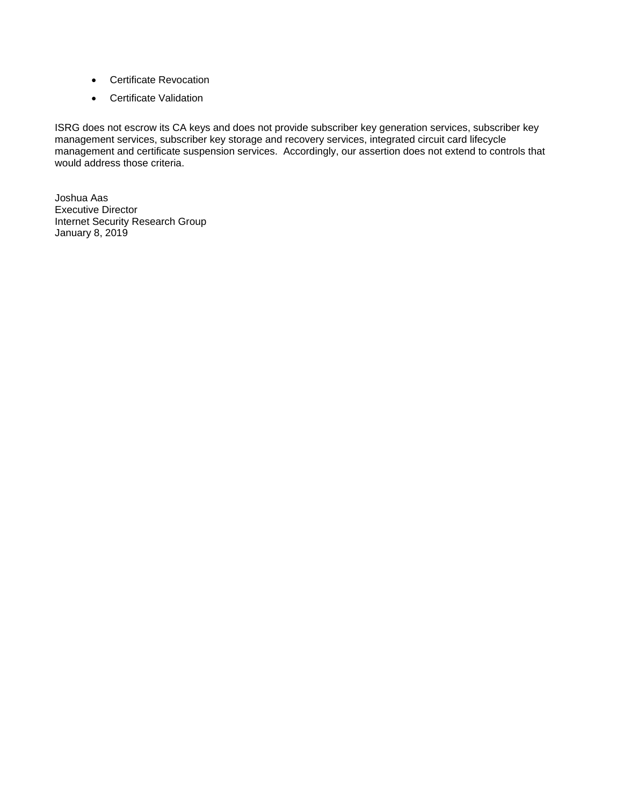- Certificate Revocation
- Certificate Validation

ISRG does not escrow its CA keys and does not provide subscriber key generation services, subscriber key management services, subscriber key storage and recovery services, integrated circuit card lifecycle management and certificate suspension services. Accordingly, our assertion does not extend to controls that would address those criteria.

Joshua Aas Executive Director Internet Security Research Group January 8, 2019